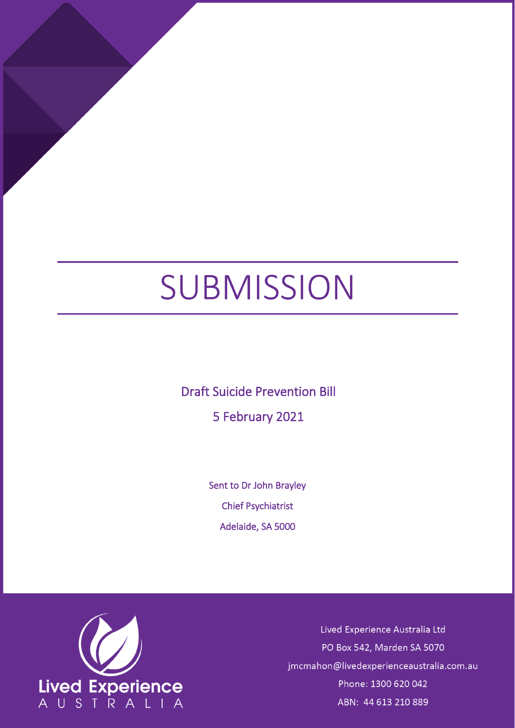# SUBMISSION

Draft Suicide Prevention Bill

5 February 2021

Sent to Dr John Brayley Chief Psychiatrist Adelaide, SA 5000



Lived Experience Australia Ltd PO Box 542, Marden SA 5070 jmcmahon@livedexperienceaustralia.com.au Phone: 1300 620 042 ABN: 44 613 210 889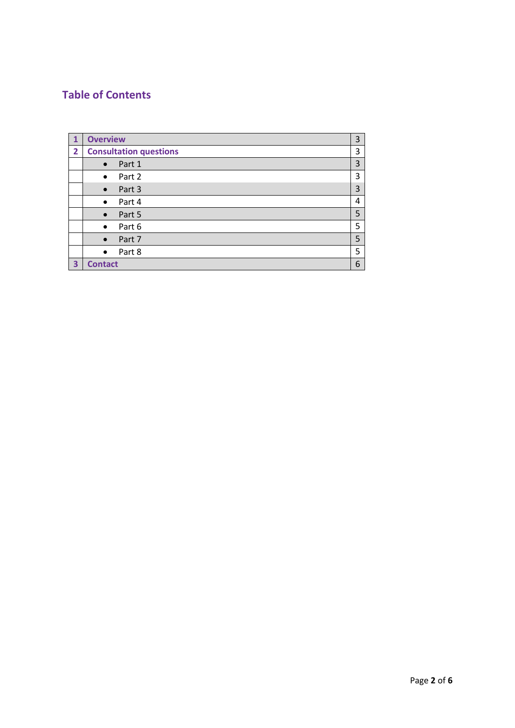## **Table of Contents**

| 1 | <b>Overview</b>               | 3 |
|---|-------------------------------|---|
| 2 | <b>Consultation questions</b> | 3 |
|   | Part 1<br>$\bullet$           | 3 |
|   | Part 2<br>$\bullet$           | 3 |
|   | Part 3<br>$\bullet$           | 3 |
|   | Part 4<br>$\bullet$           | 4 |
|   | Part 5<br>$\bullet$           | 5 |
|   | Part 6<br>$\bullet$           | 5 |
|   | Part 7<br>$\bullet$           | 5 |
|   | Part 8<br>$\bullet$           | 5 |
| 3 | <b>Contact</b>                | 6 |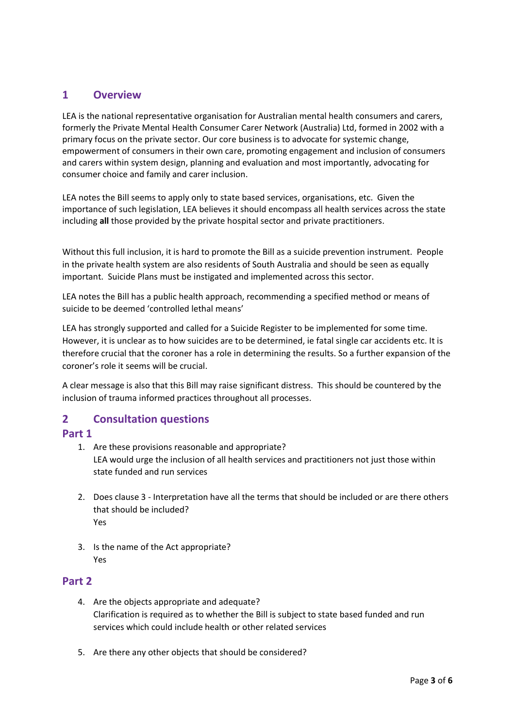### **1 Overview**

LEA is the national representative organisation for Australian mental health consumers and carers, formerly the Private Mental Health Consumer Carer Network (Australia) Ltd, formed in 2002 with a primary focus on the private sector. Our core business is to advocate for systemic change, empowerment of consumers in their own care, promoting engagement and inclusion of consumers and carers within system design, planning and evaluation and most importantly, advocating for consumer choice and family and carer inclusion.

LEA notes the Bill seems to apply only to state based services, organisations, etc. Given the importance of such legislation, LEA believes it should encompass all health services across the state including **all** those provided by the private hospital sector and private practitioners.

Without this full inclusion, it is hard to promote the Bill as a suicide prevention instrument. People in the private health system are also residents of South Australia and should be seen as equally important. Suicide Plans must be instigated and implemented across this sector.

LEA notes the Bill has a public health approach, recommending a specified method or means of suicide to be deemed 'controlled lethal means'

LEA has strongly supported and called for a Suicide Register to be implemented for some time. However, it is unclear as to how suicides are to be determined, ie fatal single car accidents etc. It is therefore crucial that the coroner has a role in determining the results. So a further expansion of the coroner's role it seems will be crucial.

A clear message is also that this Bill may raise significant distress. This should be countered by the inclusion of trauma informed practices throughout all processes.

## **2 Consultation questions**

#### **Part 1**

- 1. Are these provisions reasonable and appropriate? LEA would urge the inclusion of all health services and practitioners not just those within state funded and run services
- 2. Does clause 3 Interpretation have all the terms that should be included or are there others that should be included? Yes
- 3. Is the name of the Act appropriate? Yes

#### **Part 2**

- 4. Are the objects appropriate and adequate? Clarification is required as to whether the Bill is subject to state based funded and run services which could include health or other related services
- 5. Are there any other objects that should be considered?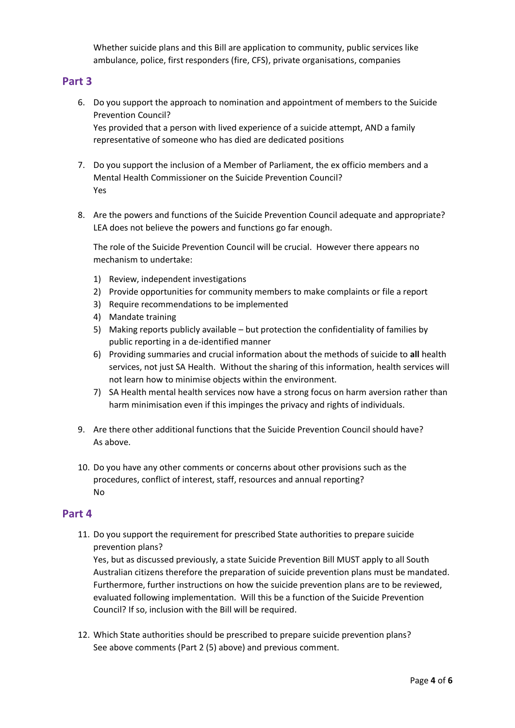Whether suicide plans and this Bill are application to community, public services like ambulance, police, first responders (fire, CFS), private organisations, companies

#### **Part 3**

- 6. Do you support the approach to nomination and appointment of members to the Suicide Prevention Council? Yes provided that a person with lived experience of a suicide attempt, AND a family representative of someone who has died are dedicated positions
- 7. Do you support the inclusion of a Member of Parliament, the ex officio members and a Mental Health Commissioner on the Suicide Prevention Council? Yes
- 8. Are the powers and functions of the Suicide Prevention Council adequate and appropriate? LEA does not believe the powers and functions go far enough.

The role of the Suicide Prevention Council will be crucial. However there appears no mechanism to undertake:

- 1) Review, independent investigations
- 2) Provide opportunities for community members to make complaints or file a report
- 3) Require recommendations to be implemented
- 4) Mandate training
- 5) Making reports publicly available but protection the confidentiality of families by public reporting in a de-identified manner
- 6) Providing summaries and crucial information about the methods of suicide to **all** health services, not just SA Health. Without the sharing of this information, health services will not learn how to minimise objects within the environment.
- 7) SA Health mental health services now have a strong focus on harm aversion rather than harm minimisation even if this impinges the privacy and rights of individuals.
- 9. Are there other additional functions that the Suicide Prevention Council should have? As above.
- 10. Do you have any other comments or concerns about other provisions such as the procedures, conflict of interest, staff, resources and annual reporting? No

#### **Part 4**

11. Do you support the requirement for prescribed State authorities to prepare suicide prevention plans?

Yes, but as discussed previously, a state Suicide Prevention Bill MUST apply to all South Australian citizens therefore the preparation of suicide prevention plans must be mandated. Furthermore, further instructions on how the suicide prevention plans are to be reviewed, evaluated following implementation. Will this be a function of the Suicide Prevention Council? If so, inclusion with the Bill will be required.

12. Which State authorities should be prescribed to prepare suicide prevention plans? See above comments (Part 2 (5) above) and previous comment.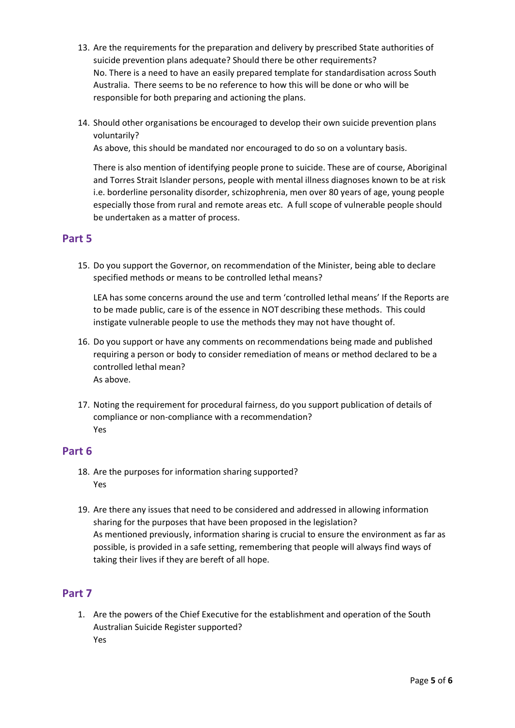- 13. Are the requirements for the preparation and delivery by prescribed State authorities of suicide prevention plans adequate? Should there be other requirements? No. There is a need to have an easily prepared template for standardisation across South Australia. There seems to be no reference to how this will be done or who will be responsible for both preparing and actioning the plans.
- 14. Should other organisations be encouraged to develop their own suicide prevention plans voluntarily?

As above, this should be mandated nor encouraged to do so on a voluntary basis.

There is also mention of identifying people prone to suicide. These are of course, Aboriginal and Torres Strait Islander persons, people with mental illness diagnoses known to be at risk i.e. borderline personality disorder, schizophrenia, men over 80 years of age, young people especially those from rural and remote areas etc. A full scope of vulnerable people should be undertaken as a matter of process.

#### **Part 5**

15. Do you support the Governor, on recommendation of the Minister, being able to declare specified methods or means to be controlled lethal means?

LEA has some concerns around the use and term 'controlled lethal means' If the Reports are to be made public, care is of the essence in NOT describing these methods. This could instigate vulnerable people to use the methods they may not have thought of.

- 16. Do you support or have any comments on recommendations being made and published requiring a person or body to consider remediation of means or method declared to be a controlled lethal mean? As above.
- 17. Noting the requirement for procedural fairness, do you support publication of details of compliance or non-compliance with a recommendation? Yes

#### **Part 6**

- 18. Are the purposes for information sharing supported? Yes
- 19. Are there any issues that need to be considered and addressed in allowing information sharing for the purposes that have been proposed in the legislation? As mentioned previously, information sharing is crucial to ensure the environment as far as possible, is provided in a safe setting, remembering that people will always find ways of taking their lives if they are bereft of all hope.

## **Part 7**

1. Are the powers of the Chief Executive for the establishment and operation of the South Australian Suicide Register supported? Yes